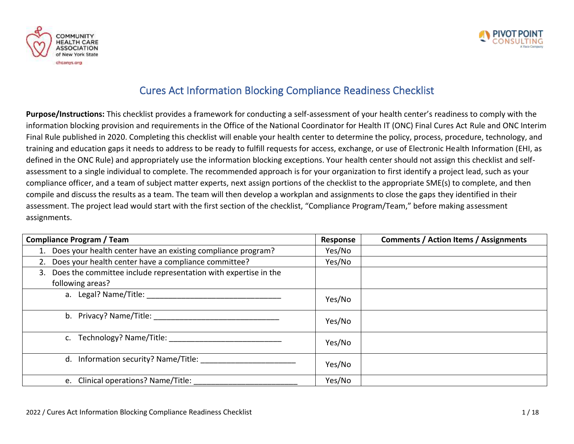



## Cures Act Information Blocking Compliance Readiness Checklist

**Purpose/Instructions:** This checklist provides a framework for conducting a self-assessment of your health center's readiness to comply with the information blocking provision and requirements in the Office of the National Coordinator for Health IT (ONC) Final Cures Act Rule and ONC Interim Final Rule published in 2020. Completing this checklist will enable your health center to determine the policy, process, procedure, technology, and training and education gaps it needs to address to be ready to fulfill requests for access, exchange, or use of Electronic Health Information (EHI, as defined in the ONC Rule) and appropriately use the information blocking exceptions. Your health center should not assign this checklist and selfassessment to a single individual to complete. The recommended approach is for your organization to first identify a project lead, such as your compliance officer, and a team of subject matter experts, next assign portions of the checklist to the appropriate SME(s) to complete, and then compile and discuss the results as a team. The team will then develop a workplan and assignments to close the gaps they identified in their assessment. The project lead would start with the first section of the checklist, "Compliance Program/Team," before making assessment assignments.

| <b>Compliance Program / Team</b>                                   | Response | <b>Comments / Action Items / Assignments</b> |
|--------------------------------------------------------------------|----------|----------------------------------------------|
| 1. Does your health center have an existing compliance program?    | Yes/No   |                                              |
| Does your health center have a compliance committee?<br>2.         | Yes/No   |                                              |
| 3. Does the committee include representation with expertise in the |          |                                              |
| following areas?                                                   |          |                                              |
|                                                                    | Yes/No   |                                              |
| b. Privacy? Name/Title:                                            | Yes/No   |                                              |
| c. Technology? Name/Title:                                         | Yes/No   |                                              |
| Information security? Name/Title:<br>d.                            | Yes/No   |                                              |
| e. Clinical operations? Name/Title:                                | Yes/No   |                                              |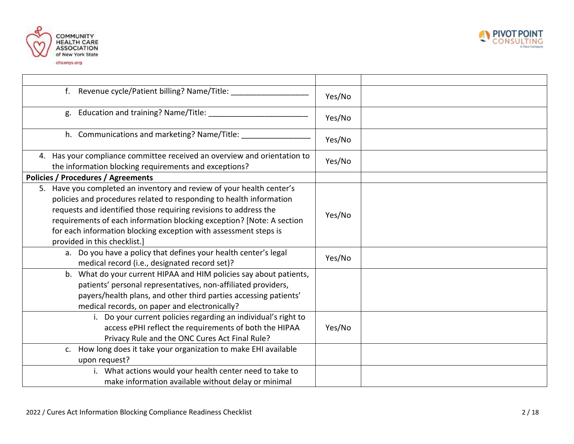



| f. Revenue cycle/Patient billing? Name/Title:                                                                                                                                                                                                                                                                                                                                                 | Yes/No |
|-----------------------------------------------------------------------------------------------------------------------------------------------------------------------------------------------------------------------------------------------------------------------------------------------------------------------------------------------------------------------------------------------|--------|
| Education and training? Name/Title: _____________<br>g.                                                                                                                                                                                                                                                                                                                                       | Yes/No |
| h. Communications and marketing? Name/Title:                                                                                                                                                                                                                                                                                                                                                  | Yes/No |
| 4. Has your compliance committee received an overview and orientation to<br>the information blocking requirements and exceptions?                                                                                                                                                                                                                                                             | Yes/No |
| <b>Policies / Procedures / Agreements</b>                                                                                                                                                                                                                                                                                                                                                     |        |
| 5. Have you completed an inventory and review of your health center's<br>policies and procedures related to responding to health information<br>requests and identified those requiring revisions to address the<br>requirements of each information blocking exception? [Note: A section<br>for each information blocking exception with assessment steps is<br>provided in this checklist.] | Yes/No |
| a. Do you have a policy that defines your health center's legal<br>medical record (i.e., designated record set)?                                                                                                                                                                                                                                                                              | Yes/No |
| b. What do your current HIPAA and HIM policies say about patients,<br>patients' personal representatives, non-affiliated providers,<br>payers/health plans, and other third parties accessing patients'<br>medical records, on paper and electronically?                                                                                                                                      |        |
| Do your current policies regarding an individual's right to<br>i.<br>access ePHI reflect the requirements of both the HIPAA<br>Privacy Rule and the ONC Cures Act Final Rule?                                                                                                                                                                                                                 | Yes/No |
| c. How long does it take your organization to make EHI available<br>upon request?                                                                                                                                                                                                                                                                                                             |        |
| i. What actions would your health center need to take to<br>make information available without delay or minimal                                                                                                                                                                                                                                                                               |        |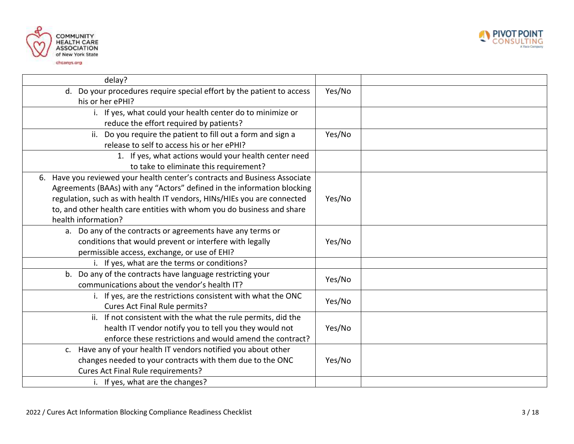

LTING

A Vaco Company



| delay?                                                                                    |        |
|-------------------------------------------------------------------------------------------|--------|
| d. Do your procedures require special effort by the patient to access<br>his or her ePHI? | Yes/No |
| i. If yes, what could your health center do to minimize or                                |        |
| reduce the effort required by patients?                                                   |        |
| ii. Do you require the patient to fill out a form and sign a                              | Yes/No |
| release to self to access his or her ePHI?                                                |        |
| 1. If yes, what actions would your health center need                                     |        |
| to take to eliminate this requirement?                                                    |        |
| 6. Have you reviewed your health center's contracts and Business Associate                |        |
| Agreements (BAAs) with any "Actors" defined in the information blocking                   |        |
| regulation, such as with health IT vendors, HINs/HIEs you are connected                   | Yes/No |
| to, and other health care entities with whom you do business and share                    |        |
| health information?                                                                       |        |
| a. Do any of the contracts or agreements have any terms or                                |        |
| conditions that would prevent or interfere with legally                                   | Yes/No |
| permissible access, exchange, or use of EHI?                                              |        |
| i. If yes, what are the terms or conditions?                                              |        |
| b. Do any of the contracts have language restricting your                                 | Yes/No |
| communications about the vendor's health IT?                                              |        |
| i. If yes, are the restrictions consistent with what the ONC                              | Yes/No |
| <b>Cures Act Final Rule permits?</b>                                                      |        |
| ii. If not consistent with the what the rule permits, did the                             |        |
| health IT vendor notify you to tell you they would not                                    | Yes/No |
| enforce these restrictions and would amend the contract?                                  |        |
| c. Have any of your health IT vendors notified you about other                            |        |
| changes needed to your contracts with them due to the ONC                                 | Yes/No |
| Cures Act Final Rule requirements?                                                        |        |
| i. If yes, what are the changes?                                                          |        |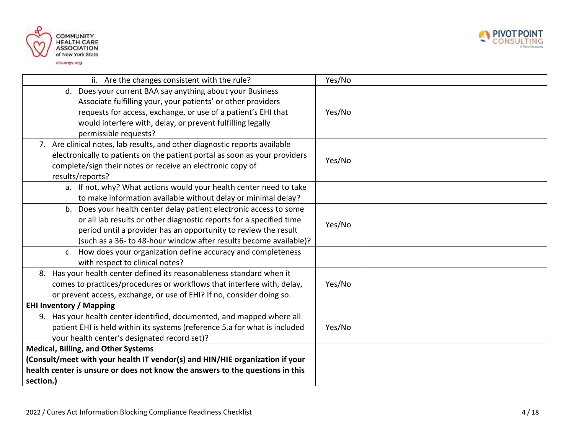



| ii. Are the changes consistent with the rule?                                 | Yes/No |  |
|-------------------------------------------------------------------------------|--------|--|
| d. Does your current BAA say anything about your Business                     |        |  |
| Associate fulfilling your, your patients' or other providers                  |        |  |
| requests for access, exchange, or use of a patient's EHI that                 | Yes/No |  |
| would interfere with, delay, or prevent fulfilling legally                    |        |  |
| permissible requests?                                                         |        |  |
| 7. Are clinical notes, lab results, and other diagnostic reports available    |        |  |
| electronically to patients on the patient portal as soon as your providers    | Yes/No |  |
| complete/sign their notes or receive an electronic copy of                    |        |  |
| results/reports?                                                              |        |  |
| a. If not, why? What actions would your health center need to take            |        |  |
| to make information available without delay or minimal delay?                 |        |  |
| b. Does your health center delay patient electronic access to some            |        |  |
| or all lab results or other diagnostic reports for a specified time           | Yes/No |  |
| period until a provider has an opportunity to review the result               |        |  |
| (such as a 36- to 48-hour window after results become available)?             |        |  |
| c. How does your organization define accuracy and completeness                |        |  |
| with respect to clinical notes?                                               |        |  |
| 8. Has your health center defined its reasonableness standard when it         |        |  |
| comes to practices/procedures or workflows that interfere with, delay,        | Yes/No |  |
| or prevent access, exchange, or use of EHI? If no, consider doing so.         |        |  |
| <b>EHI Inventory / Mapping</b>                                                |        |  |
| 9. Has your health center identified, documented, and mapped where all        |        |  |
| patient EHI is held within its systems (reference 5.a for what is included    | Yes/No |  |
| your health center's designated record set)?                                  |        |  |
| <b>Medical, Billing, and Other Systems</b>                                    |        |  |
| (Consult/meet with your health IT vendor(s) and HIN/HIE organization if your  |        |  |
| health center is unsure or does not know the answers to the questions in this |        |  |
| section.)                                                                     |        |  |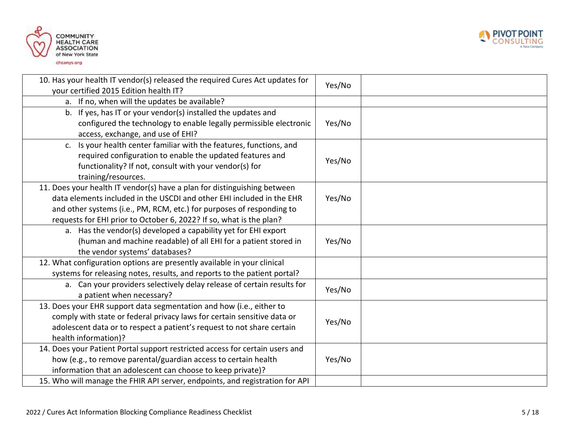



| 10. Has your health IT vendor(s) released the required Cures Act updates for<br>your certified 2015 Edition health IT?                                                                                                                                                                            | Yes/No |
|---------------------------------------------------------------------------------------------------------------------------------------------------------------------------------------------------------------------------------------------------------------------------------------------------|--------|
| a. If no, when will the updates be available?                                                                                                                                                                                                                                                     |        |
| b. If yes, has IT or your vendor(s) installed the updates and<br>configured the technology to enable legally permissible electronic<br>access, exchange, and use of EHI?                                                                                                                          | Yes/No |
| Is your health center familiar with the features, functions, and<br>$C_{\bullet}$<br>required configuration to enable the updated features and<br>functionality? If not, consult with your vendor(s) for<br>training/resources.                                                                   | Yes/No |
| 11. Does your health IT vendor(s) have a plan for distinguishing between<br>data elements included in the USCDI and other EHI included in the EHR<br>and other systems (i.e., PM, RCM, etc.) for purposes of responding to<br>requests for EHI prior to October 6, 2022? If so, what is the plan? | Yes/No |
| a. Has the vendor(s) developed a capability yet for EHI export<br>(human and machine readable) of all EHI for a patient stored in<br>the vendor systems' databases?                                                                                                                               | Yes/No |
| 12. What configuration options are presently available in your clinical<br>systems for releasing notes, results, and reports to the patient portal?                                                                                                                                               |        |
| a. Can your providers selectively delay release of certain results for<br>a patient when necessary?                                                                                                                                                                                               | Yes/No |
| 13. Does your EHR support data segmentation and how (i.e., either to<br>comply with state or federal privacy laws for certain sensitive data or<br>adolescent data or to respect a patient's request to not share certain<br>health information)?                                                 | Yes/No |
| 14. Does your Patient Portal support restricted access for certain users and<br>how (e.g., to remove parental/guardian access to certain health<br>information that an adolescent can choose to keep private)?<br>15. Who will manage the FHIR API server, endpoints, and registration for API    | Yes/No |
|                                                                                                                                                                                                                                                                                                   |        |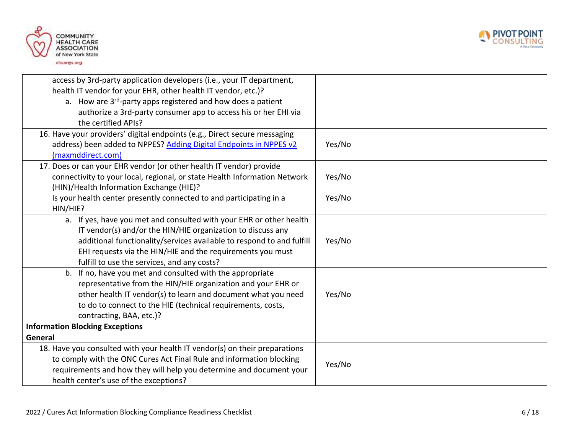



| access by 3rd-party application developers (i.e., your IT department,      |        |  |
|----------------------------------------------------------------------------|--------|--|
| health IT vendor for your EHR, other health IT vendor, etc.)?              |        |  |
| a. How are 3 <sup>rd</sup> -party apps registered and how does a patient   |        |  |
| authorize a 3rd-party consumer app to access his or her EHI via            |        |  |
| the certified APIs?                                                        |        |  |
| 16. Have your providers' digital endpoints (e.g., Direct secure messaging  |        |  |
| address) been added to NPPES? Adding Digital Endpoints in NPPES v2         | Yes/No |  |
| (maxmddirect.com)                                                          |        |  |
| 17. Does or can your EHR vendor (or other health IT vendor) provide        |        |  |
| connectivity to your local, regional, or state Health Information Network  | Yes/No |  |
| (HIN)/Health Information Exchange (HIE)?                                   |        |  |
| Is your health center presently connected to and participating in a        | Yes/No |  |
| HIN/HIE?                                                                   |        |  |
| a. If yes, have you met and consulted with your EHR or other health        |        |  |
| IT vendor(s) and/or the HIN/HIE organization to discuss any                |        |  |
| additional functionality/services available to respond to and fulfill      | Yes/No |  |
| EHI requests via the HIN/HIE and the requirements you must                 |        |  |
| fulfill to use the services, and any costs?                                |        |  |
| b. If no, have you met and consulted with the appropriate                  |        |  |
| representative from the HIN/HIE organization and your EHR or               |        |  |
| other health IT vendor(s) to learn and document what you need              | Yes/No |  |
| to do to connect to the HIE (technical requirements, costs,                |        |  |
| contracting, BAA, etc.)?                                                   |        |  |
| <b>Information Blocking Exceptions</b>                                     |        |  |
| General                                                                    |        |  |
| 18. Have you consulted with your health IT vendor(s) on their preparations |        |  |
| to comply with the ONC Cures Act Final Rule and information blocking       |        |  |
| requirements and how they will help you determine and document your        | Yes/No |  |
| health center's use of the exceptions?                                     |        |  |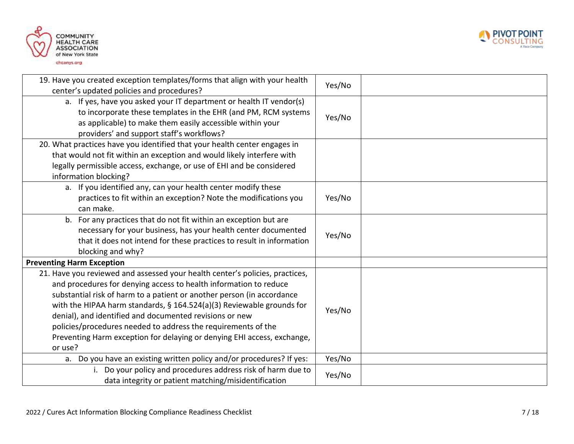



| 19. Have you created exception templates/forms that align with your health<br>center's updated policies and procedures?                                                                                                                                                                                                                                                                                                                                                                                                | Yes/No |  |
|------------------------------------------------------------------------------------------------------------------------------------------------------------------------------------------------------------------------------------------------------------------------------------------------------------------------------------------------------------------------------------------------------------------------------------------------------------------------------------------------------------------------|--------|--|
| a. If yes, have you asked your IT department or health IT vendor(s)<br>to incorporate these templates in the EHR (and PM, RCM systems<br>as applicable) to make them easily accessible within your<br>providers' and support staff's workflows?                                                                                                                                                                                                                                                                        | Yes/No |  |
| 20. What practices have you identified that your health center engages in<br>that would not fit within an exception and would likely interfere with<br>legally permissible access, exchange, or use of EHI and be considered<br>information blocking?                                                                                                                                                                                                                                                                  |        |  |
| a. If you identified any, can your health center modify these<br>practices to fit within an exception? Note the modifications you<br>can make.                                                                                                                                                                                                                                                                                                                                                                         | Yes/No |  |
| b. For any practices that do not fit within an exception but are<br>necessary for your business, has your health center documented<br>that it does not intend for these practices to result in information<br>blocking and why?                                                                                                                                                                                                                                                                                        | Yes/No |  |
| <b>Preventing Harm Exception</b>                                                                                                                                                                                                                                                                                                                                                                                                                                                                                       |        |  |
| 21. Have you reviewed and assessed your health center's policies, practices,<br>and procedures for denying access to health information to reduce<br>substantial risk of harm to a patient or another person (in accordance<br>with the HIPAA harm standards, § 164.524(a)(3) Reviewable grounds for<br>denial), and identified and documented revisions or new<br>policies/procedures needed to address the requirements of the<br>Preventing Harm exception for delaying or denying EHI access, exchange,<br>or use? | Yes/No |  |
| a. Do you have an existing written policy and/or procedures? If yes:                                                                                                                                                                                                                                                                                                                                                                                                                                                   | Yes/No |  |
| Do your policy and procedures address risk of harm due to<br>i.<br>data integrity or patient matching/misidentification                                                                                                                                                                                                                                                                                                                                                                                                | Yes/No |  |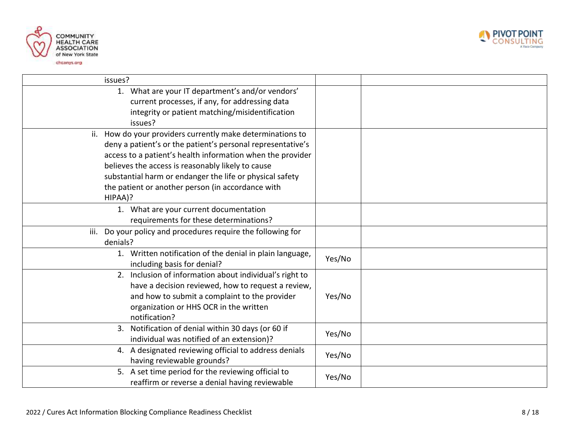



| issues?                                                         |        |  |
|-----------------------------------------------------------------|--------|--|
| 1. What are your IT department's and/or vendors'                |        |  |
| current processes, if any, for addressing data                  |        |  |
| integrity or patient matching/misidentification                 |        |  |
| issues?                                                         |        |  |
| ii. How do your providers currently make determinations to      |        |  |
| deny a patient's or the patient's personal representative's     |        |  |
| access to a patient's health information when the provider      |        |  |
| believes the access is reasonably likely to cause               |        |  |
| substantial harm or endanger the life or physical safety        |        |  |
| the patient or another person (in accordance with               |        |  |
| HIPAA)?                                                         |        |  |
| 1. What are your current documentation                          |        |  |
| requirements for these determinations?                          |        |  |
| Do your policy and procedures require the following for<br>iii. |        |  |
| denials?                                                        |        |  |
| 1. Written notification of the denial in plain language,        | Yes/No |  |
| including basis for denial?                                     |        |  |
| 2. Inclusion of information about individual's right to         |        |  |
| have a decision reviewed, how to request a review,              |        |  |
| and how to submit a complaint to the provider                   | Yes/No |  |
| organization or HHS OCR in the written                          |        |  |
| notification?                                                   |        |  |
| Notification of denial within 30 days (or 60 if<br>3.           |        |  |
| individual was notified of an extension)?                       | Yes/No |  |
| 4. A designated reviewing official to address denials           |        |  |
| having reviewable grounds?                                      | Yes/No |  |
| 5. A set time period for the reviewing official to              | Yes/No |  |
| reaffirm or reverse a denial having reviewable                  |        |  |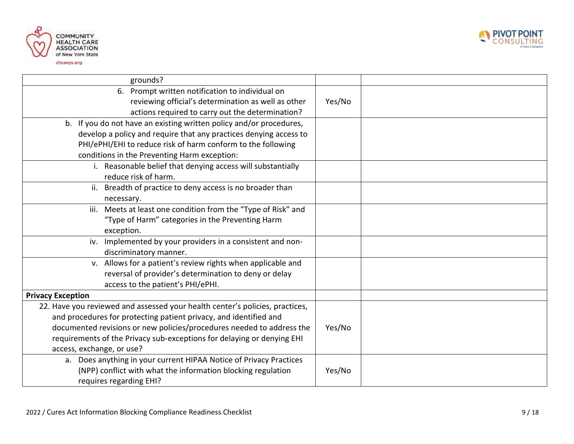



| grounds?                                                                     |        |  |
|------------------------------------------------------------------------------|--------|--|
| 6. Prompt written notification to individual on                              |        |  |
| reviewing official's determination as well as other                          | Yes/No |  |
| actions required to carry out the determination?                             |        |  |
| b. If you do not have an existing written policy and/or procedures,          |        |  |
| develop a policy and require that any practices denying access to            |        |  |
| PHI/ePHI/EHI to reduce risk of harm conform to the following                 |        |  |
| conditions in the Preventing Harm exception:                                 |        |  |
| i. Reasonable belief that denying access will substantially                  |        |  |
| reduce risk of harm.                                                         |        |  |
| ii. Breadth of practice to deny access is no broader than                    |        |  |
| necessary.                                                                   |        |  |
| iii. Meets at least one condition from the "Type of Risk" and                |        |  |
| "Type of Harm" categories in the Preventing Harm                             |        |  |
| exception.                                                                   |        |  |
| Implemented by your providers in a consistent and non-<br>iv.                |        |  |
| discriminatory manner.                                                       |        |  |
| v. Allows for a patient's review rights when applicable and                  |        |  |
| reversal of provider's determination to deny or delay                        |        |  |
| access to the patient's PHI/ePHI.                                            |        |  |
| <b>Privacy Exception</b>                                                     |        |  |
| 22. Have you reviewed and assessed your health center's policies, practices, |        |  |
| and procedures for protecting patient privacy, and identified and            |        |  |
| documented revisions or new policies/procedures needed to address the        | Yes/No |  |
| requirements of the Privacy sub-exceptions for delaying or denying EHI       |        |  |
| access, exchange, or use?                                                    |        |  |
| a. Does anything in your current HIPAA Notice of Privacy Practices           |        |  |
| (NPP) conflict with what the information blocking regulation                 | Yes/No |  |
| requires regarding EHI?                                                      |        |  |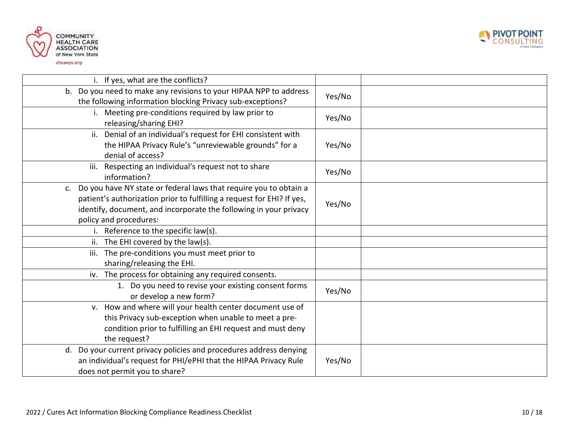



| i. If yes, what are the conflicts?                                                                                                                                                                                                               |        |
|--------------------------------------------------------------------------------------------------------------------------------------------------------------------------------------------------------------------------------------------------|--------|
| b. Do you need to make any revisions to your HIPAA NPP to address<br>the following information blocking Privacy sub-exceptions?                                                                                                                  | Yes/No |
| i. Meeting pre-conditions required by law prior to<br>releasing/sharing EHI?                                                                                                                                                                     | Yes/No |
| ii. Denial of an individual's request for EHI consistent with<br>the HIPAA Privacy Rule's "unreviewable grounds" for a<br>denial of access?                                                                                                      | Yes/No |
| Respecting an individual's request not to share<br>iii.<br>information?                                                                                                                                                                          | Yes/No |
| Do you have NY state or federal laws that require you to obtain a<br>c.<br>patient's authorization prior to fulfilling a request for EHI? If yes,<br>identify, document, and incorporate the following in your privacy<br>policy and procedures: | Yes/No |
| Reference to the specific law(s).                                                                                                                                                                                                                |        |
| ii. The EHI covered by the law(s).                                                                                                                                                                                                               |        |
| The pre-conditions you must meet prior to<br>iii.                                                                                                                                                                                                |        |
| sharing/releasing the EHI.                                                                                                                                                                                                                       |        |
| iv. The process for obtaining any required consents.                                                                                                                                                                                             |        |
| 1. Do you need to revise your existing consent forms<br>or develop a new form?                                                                                                                                                                   | Yes/No |
| v. How and where will your health center document use of<br>this Privacy sub-exception when unable to meet a pre-<br>condition prior to fulfilling an EHI request and must deny<br>the request?                                                  |        |
| d. Do your current privacy policies and procedures address denying<br>an individual's request for PHI/ePHI that the HIPAA Privacy Rule<br>does not permit you to share?                                                                          | Yes/No |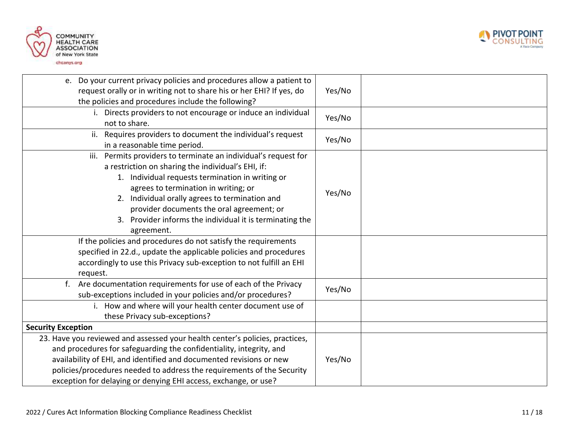



| e. Do your current privacy policies and procedures allow a patient to<br>request orally or in writing not to share his or her EHI? If yes, do<br>the policies and procedures include the following?                                                                                                                                                                                           | Yes/No |  |
|-----------------------------------------------------------------------------------------------------------------------------------------------------------------------------------------------------------------------------------------------------------------------------------------------------------------------------------------------------------------------------------------------|--------|--|
| i. Directs providers to not encourage or induce an individual<br>not to share.                                                                                                                                                                                                                                                                                                                | Yes/No |  |
| ii. Requires providers to document the individual's request<br>in a reasonable time period.                                                                                                                                                                                                                                                                                                   | Yes/No |  |
| iii. Permits providers to terminate an individual's request for<br>a restriction on sharing the individual's EHI, if:<br>1. Individual requests termination in writing or<br>agrees to termination in writing; or<br>2. Individual orally agrees to termination and<br>provider documents the oral agreement; or<br>Provider informs the individual it is terminating the<br>3.<br>agreement. | Yes/No |  |
| If the policies and procedures do not satisfy the requirements<br>specified in 22.d., update the applicable policies and procedures<br>accordingly to use this Privacy sub-exception to not fulfill an EHI<br>request.                                                                                                                                                                        |        |  |
| f. Are documentation requirements for use of each of the Privacy<br>sub-exceptions included in your policies and/or procedures?                                                                                                                                                                                                                                                               | Yes/No |  |
| i. How and where will your health center document use of<br>these Privacy sub-exceptions?                                                                                                                                                                                                                                                                                                     |        |  |
| <b>Security Exception</b>                                                                                                                                                                                                                                                                                                                                                                     |        |  |
| 23. Have you reviewed and assessed your health center's policies, practices,<br>and procedures for safeguarding the confidentiality, integrity, and<br>availability of EHI, and identified and documented revisions or new<br>policies/procedures needed to address the requirements of the Security<br>exception for delaying or denying EHI access, exchange, or use?                       | Yes/No |  |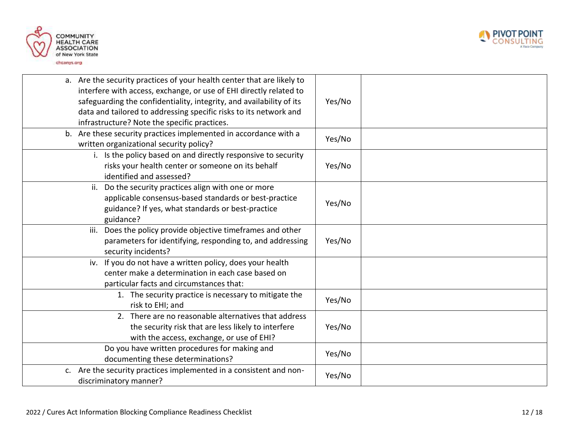



| a. Are the security practices of your health center that are likely to<br>interfere with access, exchange, or use of EHI directly related to<br>safeguarding the confidentiality, integrity, and availability of its<br>data and tailored to addressing specific risks to its network and<br>infrastructure? Note the specific practices. | Yes/No |
|-------------------------------------------------------------------------------------------------------------------------------------------------------------------------------------------------------------------------------------------------------------------------------------------------------------------------------------------|--------|
| b. Are these security practices implemented in accordance with a<br>written organizational security policy?                                                                                                                                                                                                                               | Yes/No |
| i. Is the policy based on and directly responsive to security<br>risks your health center or someone on its behalf<br>identified and assessed?                                                                                                                                                                                            | Yes/No |
| ii. Do the security practices align with one or more<br>applicable consensus-based standards or best-practice<br>guidance? If yes, what standards or best-practice<br>guidance?                                                                                                                                                           | Yes/No |
| iii. Does the policy provide objective timeframes and other<br>parameters for identifying, responding to, and addressing<br>security incidents?                                                                                                                                                                                           | Yes/No |
| iv. If you do not have a written policy, does your health<br>center make a determination in each case based on<br>particular facts and circumstances that:                                                                                                                                                                                |        |
| 1. The security practice is necessary to mitigate the<br>risk to EHI; and                                                                                                                                                                                                                                                                 | Yes/No |
| 2. There are no reasonable alternatives that address<br>the security risk that are less likely to interfere<br>with the access, exchange, or use of EHI?                                                                                                                                                                                  | Yes/No |
| Do you have written procedures for making and<br>documenting these determinations?                                                                                                                                                                                                                                                        | Yes/No |
| c. Are the security practices implemented in a consistent and non-<br>discriminatory manner?                                                                                                                                                                                                                                              | Yes/No |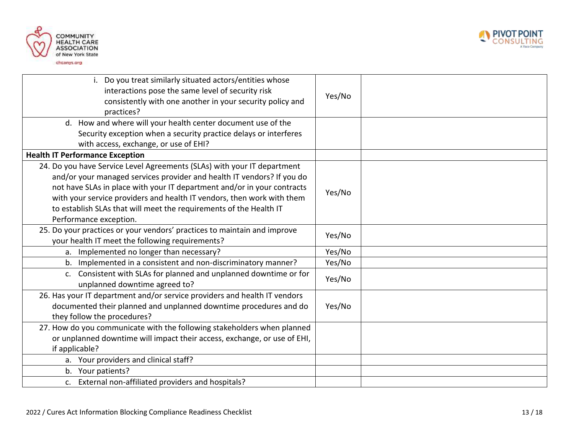



| i. Do you treat similarly situated actors/entities whose<br>interactions pose the same level of security risk<br>consistently with one another in your security policy and<br>practices?                                                                                                                                                                                                               | Yes/No |
|--------------------------------------------------------------------------------------------------------------------------------------------------------------------------------------------------------------------------------------------------------------------------------------------------------------------------------------------------------------------------------------------------------|--------|
| d. How and where will your health center document use of the<br>Security exception when a security practice delays or interferes                                                                                                                                                                                                                                                                       |        |
| with access, exchange, or use of EHI?                                                                                                                                                                                                                                                                                                                                                                  |        |
| <b>Health IT Performance Exception</b>                                                                                                                                                                                                                                                                                                                                                                 |        |
| 24. Do you have Service Level Agreements (SLAs) with your IT department<br>and/or your managed services provider and health IT vendors? If you do<br>not have SLAs in place with your IT department and/or in your contracts<br>with your service providers and health IT vendors, then work with them<br>to establish SLAs that will meet the requirements of the Health IT<br>Performance exception. | Yes/No |
| 25. Do your practices or your vendors' practices to maintain and improve<br>your health IT meet the following requirements?                                                                                                                                                                                                                                                                            | Yes/No |
| a. Implemented no longer than necessary?                                                                                                                                                                                                                                                                                                                                                               | Yes/No |
| b. Implemented in a consistent and non-discriminatory manner?                                                                                                                                                                                                                                                                                                                                          | Yes/No |
| c. Consistent with SLAs for planned and unplanned downtime or for<br>unplanned downtime agreed to?                                                                                                                                                                                                                                                                                                     | Yes/No |
| 26. Has your IT department and/or service providers and health IT vendors<br>documented their planned and unplanned downtime procedures and do<br>they follow the procedures?                                                                                                                                                                                                                          | Yes/No |
| 27. How do you communicate with the following stakeholders when planned<br>or unplanned downtime will impact their access, exchange, or use of EHI,<br>if applicable?                                                                                                                                                                                                                                  |        |
| a. Your providers and clinical staff?                                                                                                                                                                                                                                                                                                                                                                  |        |
| b. Your patients?                                                                                                                                                                                                                                                                                                                                                                                      |        |
| c. External non-affiliated providers and hospitals?                                                                                                                                                                                                                                                                                                                                                    |        |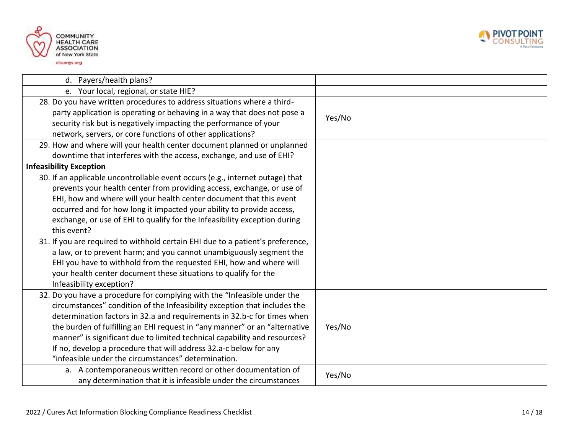



| d. Payers/health plans?                                                        |        |  |
|--------------------------------------------------------------------------------|--------|--|
| e. Your local, regional, or state HIE?                                         |        |  |
| 28. Do you have written procedures to address situations where a third-        |        |  |
| party application is operating or behaving in a way that does not pose a       | Yes/No |  |
| security risk but is negatively impacting the performance of your              |        |  |
| network, servers, or core functions of other applications?                     |        |  |
| 29. How and where will your health center document planned or unplanned        |        |  |
| downtime that interferes with the access, exchange, and use of EHI?            |        |  |
| <b>Infeasibility Exception</b>                                                 |        |  |
| 30. If an applicable uncontrollable event occurs (e.g., internet outage) that  |        |  |
| prevents your health center from providing access, exchange, or use of         |        |  |
| EHI, how and where will your health center document that this event            |        |  |
| occurred and for how long it impacted your ability to provide access,          |        |  |
| exchange, or use of EHI to qualify for the Infeasibility exception during      |        |  |
| this event?                                                                    |        |  |
| 31. If you are required to withhold certain EHI due to a patient's preference, |        |  |
| a law, or to prevent harm; and you cannot unambiguously segment the            |        |  |
| EHI you have to withhold from the requested EHI, how and where will            |        |  |
| your health center document these situations to qualify for the                |        |  |
| Infeasibility exception?                                                       |        |  |
| 32. Do you have a procedure for complying with the "Infeasible under the       |        |  |
| circumstances" condition of the Infeasibility exception that includes the      |        |  |
| determination factors in 32.a and requirements in 32.b-c for times when        |        |  |
| the burden of fulfilling an EHI request in "any manner" or an "alternative     | Yes/No |  |
| manner" is significant due to limited technical capability and resources?      |        |  |
| If no, develop a procedure that will address 32.a-c below for any              |        |  |
| "infeasible under the circumstances" determination.                            |        |  |
| a. A contemporaneous written record or other documentation of                  | Yes/No |  |
| any determination that it is infeasible under the circumstances                |        |  |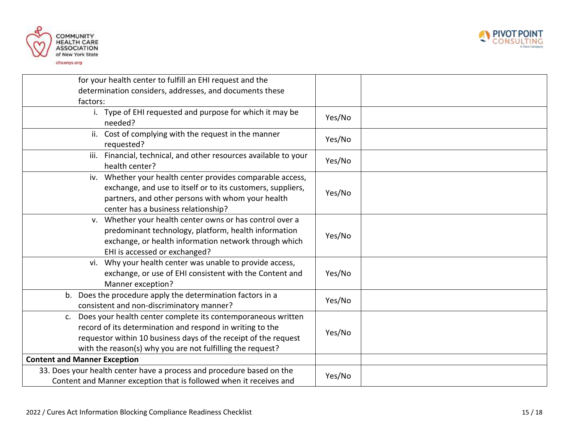



| for your health center to fulfill an EHI request and the                                                                                                                                                                                                      |        |  |
|---------------------------------------------------------------------------------------------------------------------------------------------------------------------------------------------------------------------------------------------------------------|--------|--|
| determination considers, addresses, and documents these                                                                                                                                                                                                       |        |  |
| factors:                                                                                                                                                                                                                                                      |        |  |
| i. Type of EHI requested and purpose for which it may be<br>needed?                                                                                                                                                                                           | Yes/No |  |
| Cost of complying with the request in the manner<br>ii.<br>requested?                                                                                                                                                                                         | Yes/No |  |
| Financial, technical, and other resources available to your<br>iii.<br>health center?                                                                                                                                                                         | Yes/No |  |
| iv. Whether your health center provides comparable access,<br>exchange, and use to itself or to its customers, suppliers,<br>partners, and other persons with whom your health<br>center has a business relationship?                                         | Yes/No |  |
| v. Whether your health center owns or has control over a<br>predominant technology, platform, health information<br>exchange, or health information network through which<br>EHI is accessed or exchanged?                                                    | Yes/No |  |
| Why your health center was unable to provide access,<br>vi.<br>exchange, or use of EHI consistent with the Content and<br>Manner exception?                                                                                                                   | Yes/No |  |
| b. Does the procedure apply the determination factors in a<br>consistent and non-discriminatory manner?                                                                                                                                                       | Yes/No |  |
| c. Does your health center complete its contemporaneous written<br>record of its determination and respond in writing to the<br>requestor within 10 business days of the receipt of the request<br>with the reason(s) why you are not fulfilling the request? | Yes/No |  |
| <b>Content and Manner Exception</b>                                                                                                                                                                                                                           |        |  |
| 33. Does your health center have a process and procedure based on the<br>Content and Manner exception that is followed when it receives and                                                                                                                   | Yes/No |  |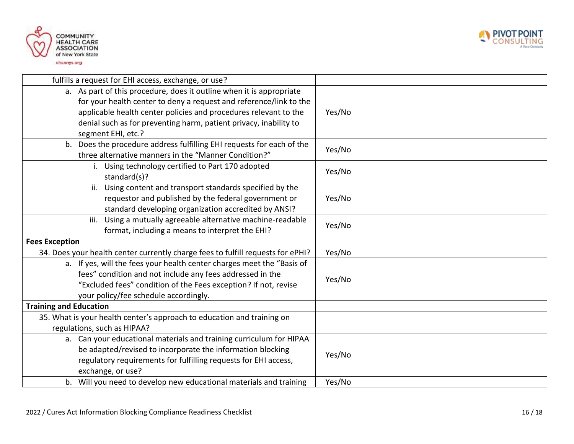



| fulfills a request for EHI access, exchange, or use?                                                                          |        |        |
|-------------------------------------------------------------------------------------------------------------------------------|--------|--------|
| a. As part of this procedure, does it outline when it is appropriate                                                          |        |        |
| for your health center to deny a request and reference/link to the                                                            |        |        |
| applicable health center policies and procedures relevant to the                                                              | Yes/No |        |
| denial such as for preventing harm, patient privacy, inability to                                                             |        |        |
| segment EHI, etc.?                                                                                                            |        |        |
| b. Does the procedure address fulfilling EHI requests for each of the<br>three alternative manners in the "Manner Condition?" | Yes/No |        |
|                                                                                                                               |        |        |
| i. Using technology certified to Part 170 adopted<br>standard(s)?                                                             | Yes/No |        |
| Using content and transport standards specified by the<br>ii.                                                                 |        |        |
| requestor and published by the federal government or                                                                          | Yes/No |        |
| standard developing organization accredited by ANSI?                                                                          |        |        |
| Using a mutually agreeable alternative machine-readable<br>iii.                                                               | Yes/No |        |
| format, including a means to interpret the EHI?                                                                               |        |        |
| <b>Fees Exception</b>                                                                                                         |        |        |
| 34. Does your health center currently charge fees to fulfill requests for ePHI?                                               | Yes/No |        |
| a. If yes, will the fees your health center charges meet the "Basis of                                                        |        |        |
| fees" condition and not include any fees addressed in the                                                                     |        | Yes/No |
| "Excluded fees" condition of the Fees exception? If not, revise                                                               |        |        |
| your policy/fee schedule accordingly.                                                                                         |        |        |
| <b>Training and Education</b>                                                                                                 |        |        |
| 35. What is your health center's approach to education and training on                                                        |        |        |
| regulations, such as HIPAA?                                                                                                   |        |        |
| a. Can your educational materials and training curriculum for HIPAA                                                           |        |        |
| be adapted/revised to incorporate the information blocking                                                                    | Yes/No |        |
| regulatory requirements for fulfilling requests for EHI access,                                                               |        |        |
| exchange, or use?                                                                                                             |        |        |
| b. Will you need to develop new educational materials and training                                                            | Yes/No |        |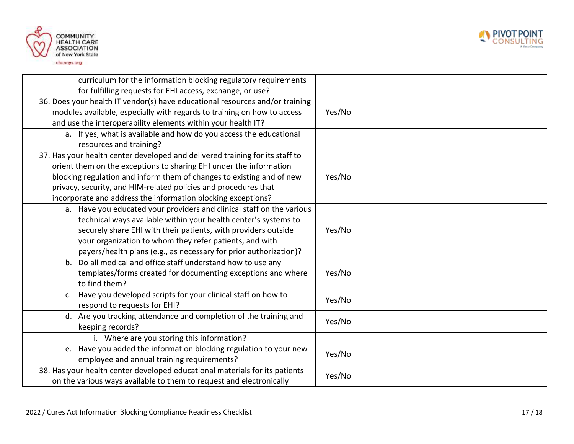



| curriculum for the information blocking regulatory requirements<br>for fulfilling requests for EHI access, exchange, or use?                                                                                                                                                                                                                                   |        |
|----------------------------------------------------------------------------------------------------------------------------------------------------------------------------------------------------------------------------------------------------------------------------------------------------------------------------------------------------------------|--------|
| 36. Does your health IT vendor(s) have educational resources and/or training<br>modules available, especially with regards to training on how to access<br>and use the interoperability elements within your health IT?                                                                                                                                        | Yes/No |
| a. If yes, what is available and how do you access the educational<br>resources and training?                                                                                                                                                                                                                                                                  |        |
| 37. Has your health center developed and delivered training for its staff to<br>orient them on the exceptions to sharing EHI under the information<br>blocking regulation and inform them of changes to existing and of new<br>privacy, security, and HIM-related policies and procedures that<br>incorporate and address the information blocking exceptions? | Yes/No |
| a. Have you educated your providers and clinical staff on the various<br>technical ways available within your health center's systems to<br>securely share EHI with their patients, with providers outside<br>your organization to whom they refer patients, and with<br>payers/health plans (e.g., as necessary for prior authorization)?                     | Yes/No |
| b. Do all medical and office staff understand how to use any<br>templates/forms created for documenting exceptions and where<br>to find them?                                                                                                                                                                                                                  | Yes/No |
| c. Have you developed scripts for your clinical staff on how to<br>respond to requests for EHI?                                                                                                                                                                                                                                                                | Yes/No |
| d. Are you tracking attendance and completion of the training and<br>keeping records?                                                                                                                                                                                                                                                                          | Yes/No |
| i. Where are you storing this information?                                                                                                                                                                                                                                                                                                                     |        |
| e. Have you added the information blocking regulation to your new<br>employee and annual training requirements?                                                                                                                                                                                                                                                | Yes/No |
| 38. Has your health center developed educational materials for its patients<br>on the various ways available to them to request and electronically                                                                                                                                                                                                             | Yes/No |